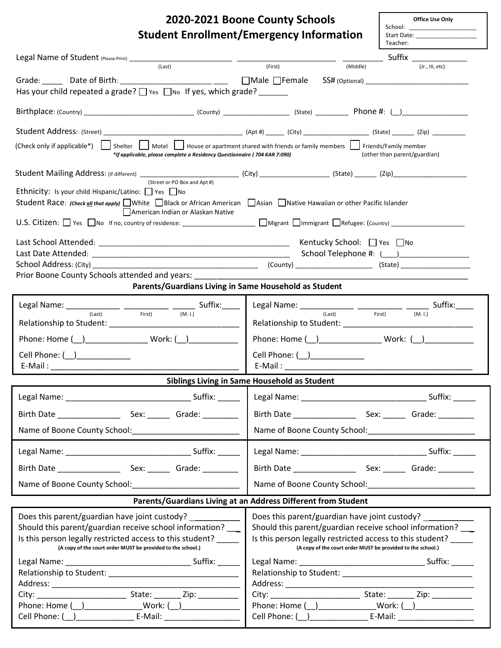| 2020-2021 Boone County Schools                                                                                                                                                                                                                |                                                                                                                          | Office Use Only            |  |  |
|-----------------------------------------------------------------------------------------------------------------------------------------------------------------------------------------------------------------------------------------------|--------------------------------------------------------------------------------------------------------------------------|----------------------------|--|--|
| <b>Student Enrollment/Emergency Information</b>                                                                                                                                                                                               | Teacher:                                                                                                                 |                            |  |  |
|                                                                                                                                                                                                                                               |                                                                                                                          | _____ Suffix _________     |  |  |
|                                                                                                                                                                                                                                               |                                                                                                                          | $(Jr, \Pi, etc)$           |  |  |
| Grade: _______ Date of Birth: ___________________________ ______ ___ ___ Male $\Box$ Female                                                                                                                                                   |                                                                                                                          |                            |  |  |
| Has your child repeated a grade? □ Yes □ No If yes, which grade?                                                                                                                                                                              |                                                                                                                          |                            |  |  |
| $Birthplace: (Country)$ (County) (County) (County) (County) (State) Phone #: (                                                                                                                                                                |                                                                                                                          |                            |  |  |
|                                                                                                                                                                                                                                               |                                                                                                                          |                            |  |  |
| (Check only if applicable*)   Shelter   Motel   House or apartment shared with friends or family members   Friends/Family member<br>(other than parent/guardian)<br>*If applicable, please complete a Residency Questionnaire (704 KAR 7:090) |                                                                                                                          |                            |  |  |
| (Street or PO Box and Apt #)                                                                                                                                                                                                                  |                                                                                                                          |                            |  |  |
| Ethnicity: Is your child Hispanic/Latino: □ Yes □ No                                                                                                                                                                                          |                                                                                                                          |                            |  |  |
| Student Race: (Check all that apply) White Black or African American Asian Native Hawaiian or other Pacific Islander<br>American Indian or Alaskan Native                                                                                     |                                                                                                                          |                            |  |  |
|                                                                                                                                                                                                                                               |                                                                                                                          |                            |  |  |
|                                                                                                                                                                                                                                               | Kentucky School: □ Yes □ No                                                                                              |                            |  |  |
|                                                                                                                                                                                                                                               |                                                                                                                          | School Telephone #: (1, 2) |  |  |
|                                                                                                                                                                                                                                               |                                                                                                                          |                            |  |  |
| Prior Boone County Schools attended and years: New York County Assembly the County of Prior (1996)                                                                                                                                            |                                                                                                                          |                            |  |  |
| Parents/Guardians Living in Same Household as Student                                                                                                                                                                                         |                                                                                                                          |                            |  |  |
| Legal Name: $\frac{1}{(last)}$ $\frac{1}{(test)}$ $\frac{1}{(test)}$ $\frac{1}{(M.1)}$ Suffix:                                                                                                                                                | Legal Name: ______________ ___________ ______ Suffix: ____<br>(Last)                                                     | First)                     |  |  |
|                                                                                                                                                                                                                                               |                                                                                                                          | (M, I)                     |  |  |
| Phone: Home ( ) Work: ( )                                                                                                                                                                                                                     |                                                                                                                          |                            |  |  |
| Cell Phone: ( ) ____________                                                                                                                                                                                                                  | Cell Phone: (__)_____________                                                                                            |                            |  |  |
|                                                                                                                                                                                                                                               |                                                                                                                          |                            |  |  |
|                                                                                                                                                                                                                                               | Siblings Living in Same Household as Student                                                                             |                            |  |  |
|                                                                                                                                                                                                                                               |                                                                                                                          |                            |  |  |
|                                                                                                                                                                                                                                               |                                                                                                                          |                            |  |  |
|                                                                                                                                                                                                                                               |                                                                                                                          |                            |  |  |
|                                                                                                                                                                                                                                               |                                                                                                                          |                            |  |  |
| Birth Date Sex: Grade:                                                                                                                                                                                                                        |                                                                                                                          |                            |  |  |
| Name of Boone County School: Name of Boone County School:                                                                                                                                                                                     |                                                                                                                          |                            |  |  |
| Parents/Guardians Living at an Address Different from Student                                                                                                                                                                                 |                                                                                                                          |                            |  |  |
| Does this parent/guardian have joint custody? ______________                                                                                                                                                                                  | Does this parent/guardian have joint custody? _____________                                                              |                            |  |  |
| Should this parent/guardian receive school information?                                                                                                                                                                                       | Should this parent/guardian receive school information?                                                                  |                            |  |  |
| Is this person legally restricted access to this student?<br>(A copy of the court order MUST be provided to the school.)                                                                                                                      | Is this person legally restricted access to this student?<br>(A copy of the court order MUST be provided to the school.) |                            |  |  |
|                                                                                                                                                                                                                                               |                                                                                                                          |                            |  |  |
|                                                                                                                                                                                                                                               |                                                                                                                          |                            |  |  |
|                                                                                                                                                                                                                                               |                                                                                                                          |                            |  |  |
|                                                                                                                                                                                                                                               |                                                                                                                          |                            |  |  |
| Phone: Home (__)________________Work: (__)_______________                                                                                                                                                                                     | Phone: Home (__)_________________Work: (__)__________________                                                            |                            |  |  |
| Cell Phone: ( <u>__ ) _____________________</u> E-Mail: ______________________________                                                                                                                                                        | Cell Phone: ( __ ) _____________________ E-Mail: _______________________________                                         |                            |  |  |